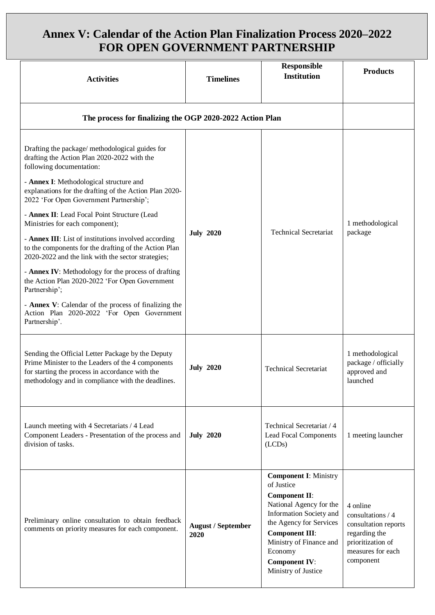## **Annex V: Calendar of the Action Plan Finalization Process 2020–2022 FOR OPEN GOVERNMENT PARTNERSHIP**

| <b>Activities</b>                                                                                                                                                                                                                                                                                                                                                                                                                                                                                                                                                                                                                                                                                                                                                                     | <b>Timelines</b>                  | <b>Responsible</b><br><b>Institution</b>                                                                                                                                                                                                                          | <b>Products</b>                                                                                                               |
|---------------------------------------------------------------------------------------------------------------------------------------------------------------------------------------------------------------------------------------------------------------------------------------------------------------------------------------------------------------------------------------------------------------------------------------------------------------------------------------------------------------------------------------------------------------------------------------------------------------------------------------------------------------------------------------------------------------------------------------------------------------------------------------|-----------------------------------|-------------------------------------------------------------------------------------------------------------------------------------------------------------------------------------------------------------------------------------------------------------------|-------------------------------------------------------------------------------------------------------------------------------|
| The process for finalizing the OGP 2020-2022 Action Plan                                                                                                                                                                                                                                                                                                                                                                                                                                                                                                                                                                                                                                                                                                                              |                                   |                                                                                                                                                                                                                                                                   |                                                                                                                               |
| Drafting the package/ methodological guides for<br>drafting the Action Plan 2020-2022 with the<br>following documentation:<br>- Annex I: Methodological structure and<br>explanations for the drafting of the Action Plan 2020-<br>2022 'For Open Government Partnership';<br>- Annex II: Lead Focal Point Structure (Lead<br>Ministries for each component);<br>- Annex III: List of institutions involved according<br>to the components for the drafting of the Action Plan<br>2020-2022 and the link with the sector strategies;<br>- Annex IV: Methodology for the process of drafting<br>the Action Plan 2020-2022 'For Open Government<br>Partnership';<br>- Annex V: Calendar of the process of finalizing the<br>Action Plan 2020-2022 'For Open Government<br>Partnership'. | <b>July 2020</b>                  | <b>Technical Secretariat</b>                                                                                                                                                                                                                                      | 1 methodological<br>package                                                                                                   |
| Sending the Official Letter Package by the Deputy<br>Prime Minister to the Leaders of the 4 components<br>for starting the process in accordance with the<br>methodology and in compliance with the deadlines.                                                                                                                                                                                                                                                                                                                                                                                                                                                                                                                                                                        | <b>July 2020</b>                  | <b>Technical Secretariat</b>                                                                                                                                                                                                                                      | 1 methodological<br>package / officially<br>approved and<br>launched                                                          |
| Launch meeting with 4 Secretariats / 4 Lead<br>Component Leaders - Presentation of the process and<br>division of tasks.                                                                                                                                                                                                                                                                                                                                                                                                                                                                                                                                                                                                                                                              | <b>July 2020</b>                  | Technical Secretariat / 4<br><b>Lead Focal Components</b><br>(LCDs)                                                                                                                                                                                               | 1 meeting launcher                                                                                                            |
| Preliminary online consultation to obtain feedback<br>comments on priority measures for each component.                                                                                                                                                                                                                                                                                                                                                                                                                                                                                                                                                                                                                                                                               | <b>August / September</b><br>2020 | <b>Component I: Ministry</b><br>of Justice<br><b>Component II:</b><br>National Agency for the<br>Information Society and<br>the Agency for Services<br><b>Component III:</b><br>Ministry of Finance and<br>Economy<br><b>Component IV:</b><br>Ministry of Justice | 4 online<br>consultations / 4<br>consultation reports<br>regarding the<br>prioritization of<br>measures for each<br>component |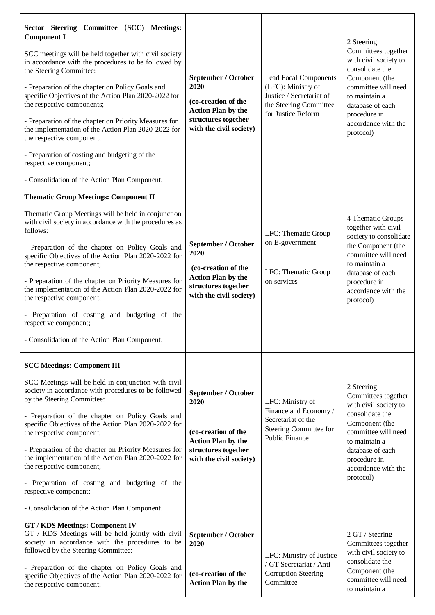| Sector Steering Committee (SCC) Meetings:<br><b>Component I</b><br>SCC meetings will be held together with civil society<br>in accordance with the procedures to be followed by<br>the Steering Committee:<br>- Preparation of the chapter on Policy Goals and<br>specific Objectives of the Action Plan 2020-2022 for<br>the respective components;<br>- Preparation of the chapter on Priority Measures for<br>the implementation of the Action Plan 2020-2022 for<br>the respective component;<br>- Preparation of costing and budgeting of the<br>respective component;<br>- Consolidation of the Action Plan Component. | September / October<br>2020<br>(co-creation of the<br><b>Action Plan by the</b><br>structures together<br>with the civil society) | <b>Lead Focal Components</b><br>(LFC): Ministry of<br>Justice / Secretariat of<br>the Steering Committee<br>for Justice Reform | 2 Steering<br>Committees together<br>with civil society to<br>consolidate the<br>Component (the<br>committee will need<br>to maintain a<br>database of each<br>procedure in<br>accordance with the<br>protocol) |
|------------------------------------------------------------------------------------------------------------------------------------------------------------------------------------------------------------------------------------------------------------------------------------------------------------------------------------------------------------------------------------------------------------------------------------------------------------------------------------------------------------------------------------------------------------------------------------------------------------------------------|-----------------------------------------------------------------------------------------------------------------------------------|--------------------------------------------------------------------------------------------------------------------------------|-----------------------------------------------------------------------------------------------------------------------------------------------------------------------------------------------------------------|
| <b>Thematic Group Meetings: Component II</b><br>Thematic Group Meetings will be held in conjunction<br>with civil society in accordance with the procedures as<br>follows:<br>- Preparation of the chapter on Policy Goals and<br>specific Objectives of the Action Plan 2020-2022 for<br>the respective component;<br>- Preparation of the chapter on Priority Measures for<br>the implementation of the Action Plan 2020-2022 for<br>the respective component;<br>- Preparation of costing and budgeting of the<br>respective component;<br>- Consolidation of the Action Plan Component.                                  | September / October<br>2020<br>(co-creation of the<br><b>Action Plan by the</b><br>structures together<br>with the civil society) | LFC: Thematic Group<br>on E-government<br>LFC: Thematic Group<br>on services                                                   | 4 Thematic Groups<br>together with civil<br>society to consolidate<br>the Component (the<br>committee will need<br>to maintain a<br>database of each<br>procedure in<br>accordance with the<br>protocol)        |
| <b>SCC Meetings: Component III</b><br>SCC Meetings will be held in conjunction with civil<br>society in accordance with procedures to be followed<br>by the Steering Committee:<br>- Preparation of the chapter on Policy Goals and<br>specific Objectives of the Action Plan 2020-2022 for<br>the respective component;<br>- Preparation of the chapter on Priority Measures for<br>the implementation of the Action Plan 2020-2022 for<br>the respective component;<br>- Preparation of costing and budgeting of the<br>respective component;<br>- Consolidation of the Action Plan Component.                             | September / October<br>2020<br>(co-creation of the<br><b>Action Plan by the</b><br>structures together<br>with the civil society) | LFC: Ministry of<br>Finance and Economy/<br>Secretariat of the<br>Steering Committee for<br><b>Public Finance</b>              | 2 Steering<br>Committees together<br>with civil society to<br>consolidate the<br>Component (the<br>committee will need<br>to maintain a<br>database of each<br>procedure in<br>accordance with the<br>protocol) |
| <b>GT / KDS Meetings: Component IV</b><br>GT / KDS Meetings will be held jointly with civil<br>society in accordance with the procedures to be<br>followed by the Steering Committee:<br>- Preparation of the chapter on Policy Goals and<br>specific Objectives of the Action Plan 2020-2022 for<br>the respective component;                                                                                                                                                                                                                                                                                               | September / October<br>2020<br>(co-creation of the<br><b>Action Plan by the</b>                                                   | LFC: Ministry of Justice<br>/ GT Secretariat / Anti-<br><b>Corruption Steering</b><br>Committee                                | 2 GT / Steering<br>Committees together<br>with civil society to<br>consolidate the<br>Component (the<br>committee will need<br>to maintain a                                                                    |